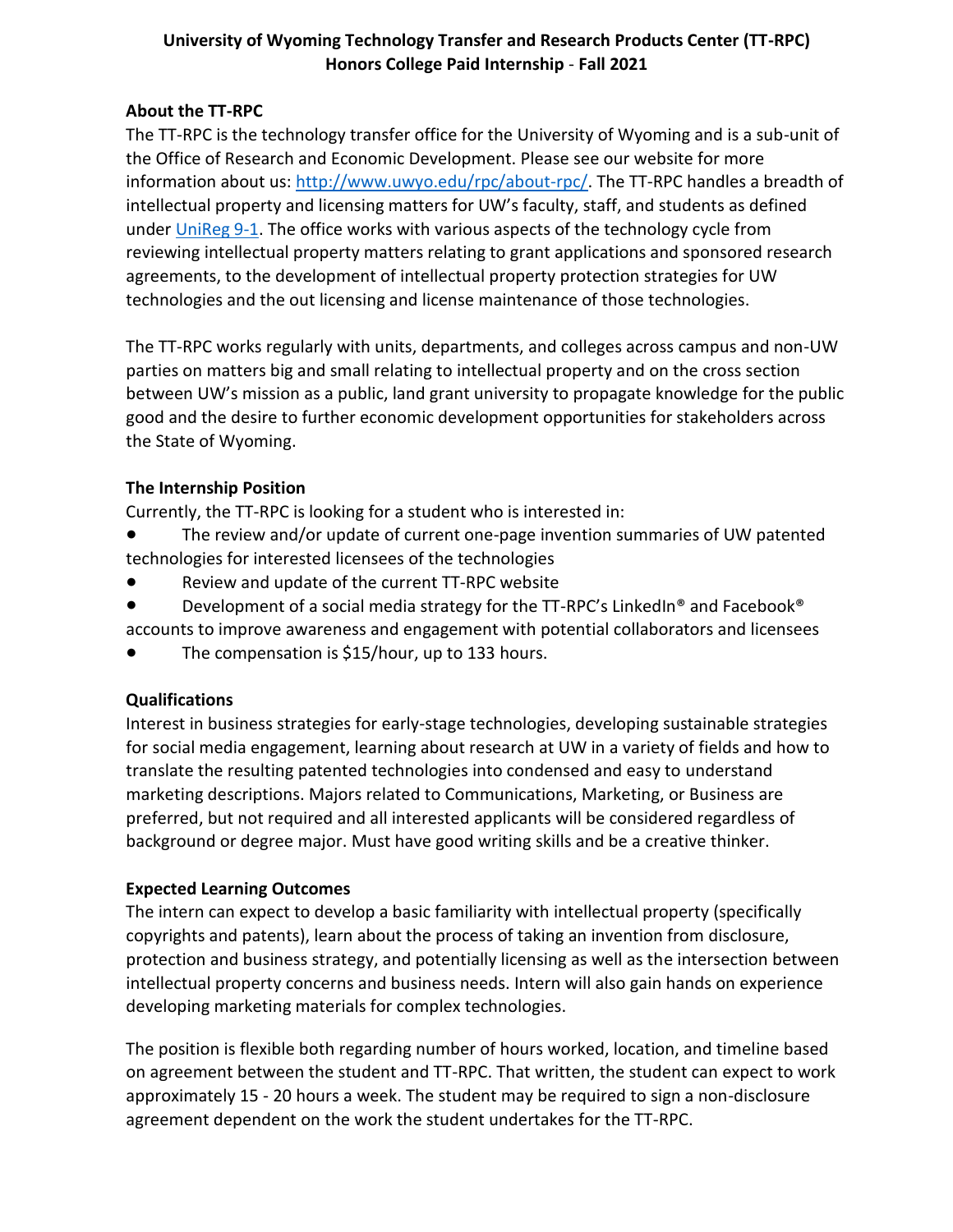# **University of Wyoming Technology Transfer and Research Products Center (TT-RPC) Honors College Paid Internship** - **Fall 2021**

# **About the TT-RPC**

The TT-RPC is the technology transfer office for the University of Wyoming and is a sub-unit of the Office of Research and Economic Development. Please see our website for more information about us: [http://www.uwyo.edu/rpc/about-rpc/.](http://www.uwyo.edu/rpc/about-rpc/) The TT-RPC handles a breadth of intellectual property and licensing matters for UW's faculty, staff, and students as defined under [UniReg 9-1.](https://www.uwyo.edu/regs-policies/_files/docs/regulations-july-2018/uw_reg_9-1_format_effective_7-1-18.pdf) The office works with various aspects of the technology cycle from reviewing intellectual property matters relating to grant applications and sponsored research agreements, to the development of intellectual property protection strategies for UW technologies and the out licensing and license maintenance of those technologies.

The TT-RPC works regularly with units, departments, and colleges across campus and non-UW parties on matters big and small relating to intellectual property and on the cross section between UW's mission as a public, land grant university to propagate knowledge for the public good and the desire to further economic development opportunities for stakeholders across the State of Wyoming.

# **The Internship Position**

Currently, the TT-RPC is looking for a student who is interested in:

- The review and/or update of current one-page invention summaries of UW patented technologies for interested licensees of the technologies
- Review and update of the current TT-RPC website
- Development of a social media strategy for the TT-RPC's LinkedIn® and Facebook®
- accounts to improve awareness and engagement with potential collaborators and licensees
- The compensation is  $$15/hour$ , up to 133 hours.

#### **Qualifications**

Interest in business strategies for early-stage technologies, developing sustainable strategies for social media engagement, learning about research at UW in a variety of fields and how to translate the resulting patented technologies into condensed and easy to understand marketing descriptions. Majors related to Communications, Marketing, or Business are preferred, but not required and all interested applicants will be considered regardless of background or degree major. Must have good writing skills and be a creative thinker.

# **Expected Learning Outcomes**

The intern can expect to develop a basic familiarity with intellectual property (specifically copyrights and patents), learn about the process of taking an invention from disclosure, protection and business strategy, and potentially licensing as well as the intersection between intellectual property concerns and business needs. Intern will also gain hands on experience developing marketing materials for complex technologies.

The position is flexible both regarding number of hours worked, location, and timeline based on agreement between the student and TT-RPC. That written, the student can expect to work approximately 15 - 20 hours a week. The student may be required to sign a non-disclosure agreement dependent on the work the student undertakes for the TT-RPC.